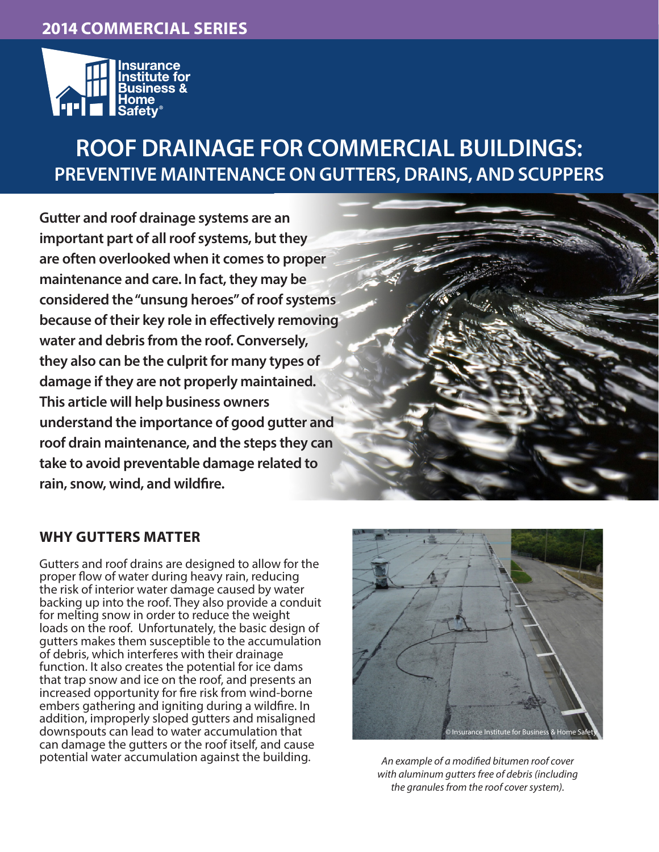### **2013 COMMERCIAL SERIES 2014 COMMERCIAL SERIES**



## **ROOF DRAINAGE FOR COMMERCIAL BUILDINGS: PREVENTIVE MAINTENANCE ON GUTTERS, DRAINS, AND SCUPPERS**

**Gutter and roof drainage systems are an important part of all roof systems, but they are often overlooked when it comes to proper maintenance and care. In fact, they may be considered the "unsung heroes" of roof systems because of their key role in effectively removing water and debris from the roof. Conversely, they also can be the culprit for many types of damage if they are not properly maintained. This article will help business owners understand the importance of good gutter and roof drain maintenance, and the steps they can take to avoid preventable damage related to rain, snow, wind, and wildfire.** 

#### **WHY GUTTERS MATTER**

Gutters and roof drains are designed to allow for the proper flow of water during heavy rain, reducing the risk of interior water damage caused by water backing up into the roof. They also provide a conduit for melting snow in order to reduce the weight loads on the roof. Unfortunately, the basic design of gutters makes them susceptible to the accumulation of debris, which interferes with their drainage function. It also creates the potential for ice dams that trap snow and ice on the roof, and presents an increased opportunity for fire risk from wind-borne embers gathering and igniting during a wildfire. In addition, improperly sloped gutters and misaligned downspouts can lead to water accumulation that can damage the gutters or the roof itself, and cause potential water accumulation against the building. *An example of a modified bitumen roof cover* 



*with aluminum gutters free of debris (including the granules from the roof cover system).*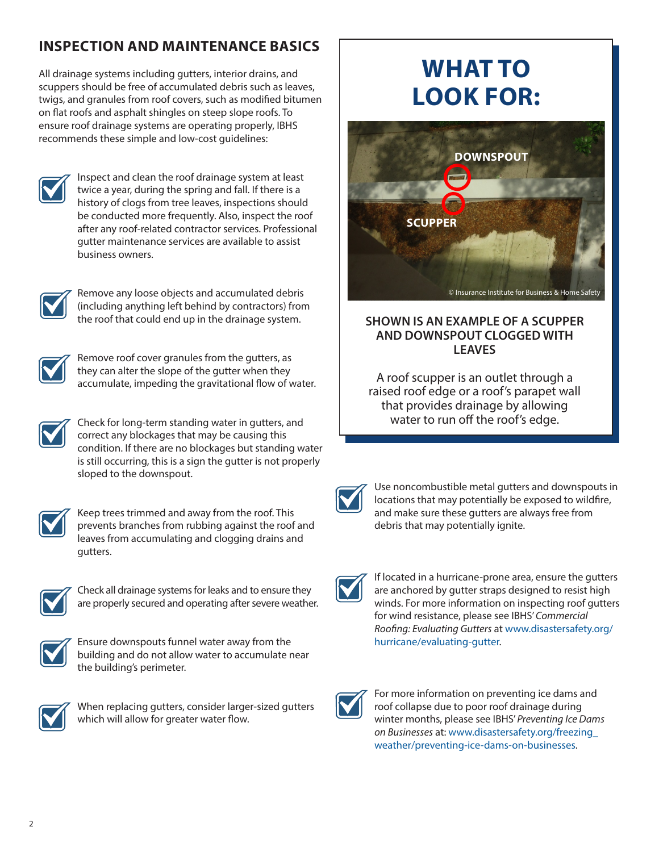## **INSPECTION AND MAINTENANCE BASICS**

All drainage systems including gutters, interior drains, and scuppers should be free of accumulated debris such as leaves, twigs, and granules from roof covers, such as modified bitumen on flat roofs and asphalt shingles on steep slope roofs. To ensure roof drainage systems are operating properly, IBHS recommends these simple and low-cost guidelines:



Inspect and clean the roof drainage system at least twice a year, during the spring and fall. If there is a history of clogs from tree leaves, inspections should be conducted more frequently. Also, inspect the roof after any roof-related contractor services. Professional gutter maintenance services are available to assist business owners.



Remove any loose objects and accumulated debris (including anything left behind by contractors) from the roof that could end up in the drainage system.



Remove roof cover granules from the gutters, as they can alter the slope of the gutter when they accumulate, impeding the gravitational flow of water.



Check for long-term standing water in gutters, and correct any blockages that may be causing this condition. If there are no blockages but standing water is still occurring, this is a sign the gutter is not properly sloped to the downspout.



Keep trees trimmed and away from the roof. This prevents branches from rubbing against the roof and leaves from accumulating and clogging drains and gutters.



Check all drainage systems for leaks and to ensure they are properly secured and operating after severe weather.



Ensure downspouts funnel water away from the building and do not allow water to accumulate near the building's perimeter.



When replacing gutters, consider larger-sized gutters which will allow for greater water flow.

# **WHAT TO LOOK FOR:**



#### **SHOWN IS AN EXAMPLE OF A SCUPPER AND DOWNSPOUT CLOGGED WITH LEAVES**

A roof scupper is an outlet through a raised roof edge or a roof's parapet wall that provides drainage by allowing water to run off the roof's edge.

Use noncombustible metal gutters and downspouts in locations that may potentially be exposed to wildfire, and make sure these gutters are always free from debris that may potentially ignite.

If located in a hurricane-prone area, ensure the gutters are anchored by gutter straps designed to resist high winds. For more information on inspecting roof gutters for wind resistance, please see IBHS' *Commercial Roofing: Evaluating Gutters* at [www.disastersafety.org/](www.disastersafety.org/hurricane/evaluating-gutter) [hurricane/evaluating-gutter.](www.disastersafety.org/hurricane/evaluating-gutter)



For more information on preventing ice dams and roof collapse due to poor roof drainage during winter months, please see IBHS' *Preventing Ice Dams on Businesses* at: [www.disastersafety.org/freezing\\_](www.disastersafety.org/freezing_weather/preventing-ice-dams-on-businesses) [weather/preventing-ice-dams-on-businesses.](www.disastersafety.org/freezing_weather/preventing-ice-dams-on-businesses)